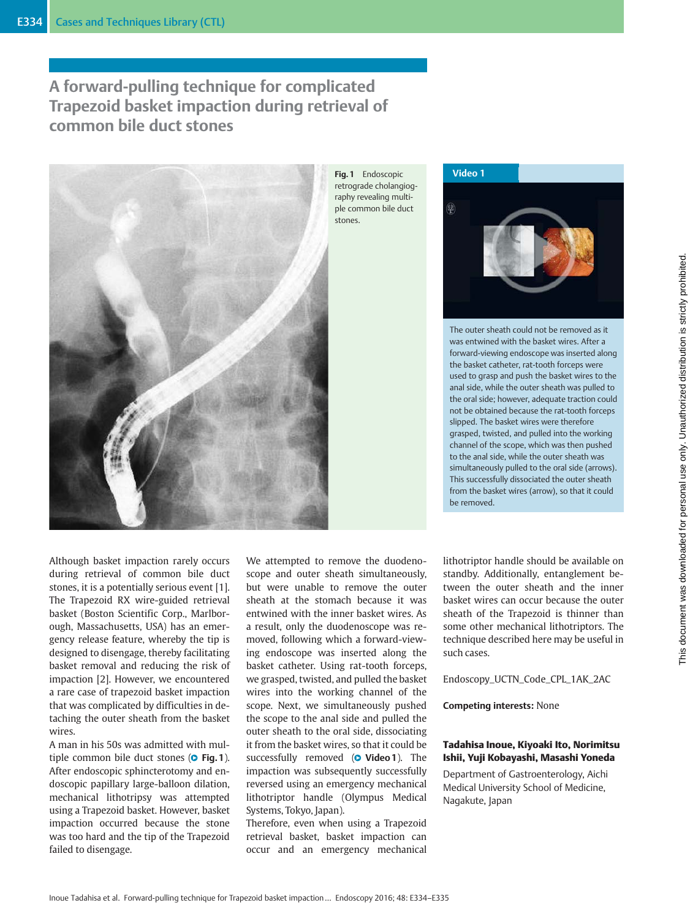# A forward-pulling technique for complicated Trapezoid basket impaction during retrieval of common bile duct stones



Fig. 1 Endoscopic retrograde cholangiography revealing multiple common bile duct stones.



The outer sheath could not be removed as it was entwined with the basket wires. After a forward-viewing endoscope was inserted along the basket catheter, rat-tooth forceps were used to grasp and push the basket wires to the anal side, while the outer sheath was pulled to the oral side; however, adequate traction could not be obtained because the rat-tooth forceps slipped. The basket wires were therefore grasped, twisted, and pulled into the working channel of the scope, which was then pushed to the anal side, while the outer sheath was simultaneously pulled to the oral side (arrows). This successfully dissociated the outer sheath from the basket wires (arrow), so that it could be removed.

Although basket impaction rarely occurs during retrieval of common bile duct stones, it is a potentially serious event [1]. The Trapezoid RX wire-guided retrieval basket (Boston Scientific Corp., Marlborough, Massachusetts, USA) has an emergency release feature, whereby the tip is designed to disengage, thereby facilitating basket removal and reducing the risk of impaction [2]. However, we encountered a rare case of trapezoid basket impaction that was complicated by difficulties in detaching the outer sheath from the basket wires.

A man in his 50s was admitted with multiple common bile duct stones (**O Fig. 1**). After endoscopic sphincterotomy and endoscopic papillary large-balloon dilation, mechanical lithotripsy was attempted using a Trapezoid basket. However, basket impaction occurred because the stone was too hard and the tip of the Trapezoid failed to disengage.

We attempted to remove the duodenoscope and outer sheath simultaneously, but were unable to remove the outer sheath at the stomach because it was entwined with the inner basket wires. As a result, only the duodenoscope was removed, following which a forward-viewing endoscope was inserted along the basket catheter. Using rat-tooth forceps, we grasped, twisted, and pulled the basket wires into the working channel of the scope. Next, we simultaneously pushed the scope to the anal side and pulled the outer sheath to the oral side, dissociating it from the basket wires, so that it could be successfully removed (**O Video 1**). The impaction was subsequently successfully reversed using an emergency mechanical lithotriptor handle (Olympus Medical Systems, Tokyo, Japan).

Therefore, even when using a Trapezoid retrieval basket, basket impaction can occur and an emergency mechanical lithotriptor handle should be available on standby. Additionally, entanglement between the outer sheath and the inner basket wires can occur because the outer sheath of the Trapezoid is thinner than some other mechanical lithotriptors. The technique described here may be useful in such cases.

Endoscopy\_UCTN\_Code\_CPL\_1AK\_2AC

Competing interests: None

### Tadahisa Inoue, Kiyoaki Ito, Norimitsu Ishii, Yuji Kobayashi, Masashi Yoneda

Department of Gastroenterology, Aichi Medical University School of Medicine, Nagakute, Japan